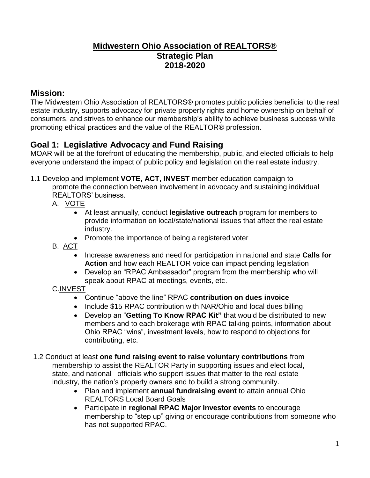### **Midwestern Ohio Association of REALTORS® Strategic Plan 2018-2020**

### **Mission:**

The Midwestern Ohio Association of REALTORS® promotes public policies beneficial to the real estate industry, supports advocacy for private property rights and home ownership on behalf of consumers, and strives to enhance our membership's ability to achieve business success while promoting ethical practices and the value of the REALTOR® profession.

### **Goal 1: Legislative Advocacy and Fund Raising**

MOAR will be at the forefront of educating the membership, public, and elected officials to help everyone understand the impact of public policy and legislation on the real estate industry.

1.1 Develop and implement **VOTE, ACT, INVEST** member education campaign to

promote the connection between involvement in advocacy and sustaining individual REALTORS' business.

- A. VOTE
	- At least annually, conduct **legislative outreach** program for members to provide information on local/state/national issues that affect the real estate industry.
	- Promote the importance of being a registered voter
- B. <u>ACT</u>
	- Increase awareness and need for participation in national and state **Calls for Action** and how each REALTOR voice can impact pending legislation
	- Develop an "RPAC Ambassador" program from the membership who will speak about RPAC at meetings, events, etc.

#### C.INVEST

- Continue "above the line" RPAC **contribution on dues invoice**
- Include \$15 RPAC contribution with NAR/Ohio and local dues billing
- Develop an "**Getting To Know RPAC Kit"** that would be distributed to new members and to each brokerage with RPAC talking points, information about Ohio RPAC "wins", investment levels, how to respond to objections for contributing, etc.
- 1.2 Conduct at least **one fund raising event to raise voluntary contributions** from membership to assist the REALTOR Party in supporting issues and elect local, state, and national officials who support issues that matter to the real estate industry, the nation's property owners and to build a strong community.
	- Plan and implement **annual fundraising event** to attain annual Ohio REALTORS Local Board Goals
	- Participate in **regional RPAC Major Investor events** to encourage membership to "step up" giving or encourage contributions from someone who has not supported RPAC.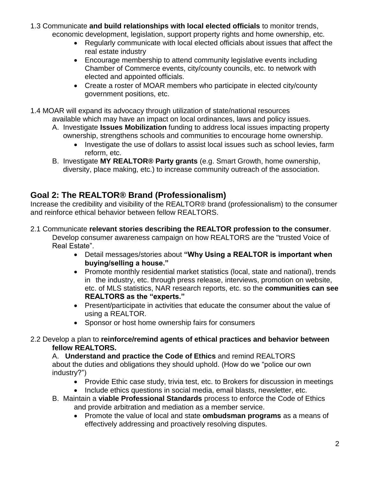- 1.3 Communicate **and build relationships with local elected officials** to monitor trends, economic development, legislation, support property rights and home ownership, etc.
	- Regularly communicate with local elected officials about issues that affect the real estate industry
	- Encourage membership to attend community legislative events including Chamber of Commerce events, city/county councils, etc. to network with elected and appointed officials.
	- Create a roster of MOAR members who participate in elected city/county government positions, etc.
- 1.4 MOAR will expand its advocacy through utilization of state/national resources available which may have an impact on local ordinances, laws and policy issues.
	- A. Investigate **Issues Mobilization** funding to address local issues impacting property ownership, strengthens schools and communities to encourage home ownership.
		- Investigate the use of dollars to assist local issues such as school levies, farm reform, etc.
	- B. Investigate **MY REALTOR® Party grants** (e.g. Smart Growth, home ownership, diversity, place making, etc.) to increase community outreach of the association.

# **Goal 2: The REALTOR® Brand (Professionalism)**

Increase the credibility and visibility of the REALTOR® brand (professionalism) to the consumer and reinforce ethical behavior between fellow REALTORS.

2.1 Communicate **relevant stories describing the REALTOR profession to the consumer**.

Develop consumer awareness campaign on how REALTORS are the "trusted Voice of Real Estate".

- Detail messages/stories about **"Why Using a REALTOR is important when buying/selling a house."**
- Promote monthly residential market statistics (local, state and national), trends in the industry, etc. through press release, interviews, promotion on website, etc. of MLS statistics, NAR research reports, etc. so the **communities can see REALTORS as the "experts."**
- Present/participate in activities that educate the consumer about the value of using a REALTOR.
- Sponsor or host home ownership fairs for consumers
- 2.2 Develop a plan to **reinforce/remind agents of ethical practices and behavior between fellow REALTORS.**

A. **Understand and practice the Code of Ethics** and remind REALTORS about the duties and obligations they should uphold. (How do we "police our own industry?")

- Provide Ethic case study, trivia test, etc. to Brokers for discussion in meetings
- Include ethics questions in social media, email blasts, newsletter, etc.
- B. Maintain a **viable Professional Standards** process to enforce the Code of Ethics and provide arbitration and mediation as a member service.
	- Promote the value of local and state **ombudsman programs** as a means of effectively addressing and proactively resolving disputes.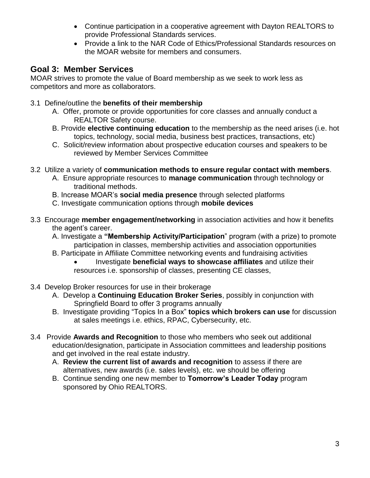- Continue participation in a cooperative agreement with Dayton REALTORS to provide Professional Standards services.
- Provide a link to the NAR Code of Ethics/Professional Standards resources on the MOAR website for members and consumers.

### **Goal 3: Member Services**

MOAR strives to promote the value of Board membership as we seek to work less as competitors and more as collaborators.

- 3.1 Define/outline the **benefits of their membership**
	- A. Offer, promote or provide opportunities for core classes and annually conduct a REALTOR Safety course.
	- B. Provide **elective continuing education** to the membership as the need arises (i.e. hot topics, technology, social media, business best practices, transactions, etc)
	- C. Solicit/review information about prospective education courses and speakers to be reviewed by Member Services Committee
- 3.2 Utilize a variety of **communication methods to ensure regular contact with members**.
	- A. Ensure appropriate resources to **manage communication** through technology or traditional methods.
	- B. Increase MOAR's **social media presence** through selected platforms
	- C. Investigate communication options through **mobile devices**
- 3.3 Encourage **member engagement/networking** in association activities and how it benefits the agent's career.
	- A. Investigate a **"Membership Activity/Participation**" program (with a prize) to promote participation in classes, membership activities and association opportunities
	- B. Participate in Affiliate Committee networking events and fundraising activities
		- Investigate **beneficial ways to showcase affiliates** and utilize their resources i.e. sponsorship of classes, presenting CE classes,
- 3.4 Develop Broker resources for use in their brokerage
	- A. Develop a **Continuing Education Broker Series**, possibly in conjunction with Springfield Board to offer 3 programs annually
	- B. Investigate providing "Topics In a Box" **topics which brokers can use** for discussion at sales meetings i.e. ethics, RPAC, Cybersecurity, etc.
- 3.4 Provide **Awards and Recognition** to those who members who seek out additional education/designation, participate in Association committees and leadership positions and get involved in the real estate industry.
	- A. **Review the current list of awards and recognition** to assess if there are alternatives, new awards (i.e. sales levels), etc. we should be offering
	- B. Continue sending one new member to **Tomorrow's Leader Today** program sponsored by Ohio REALTORS.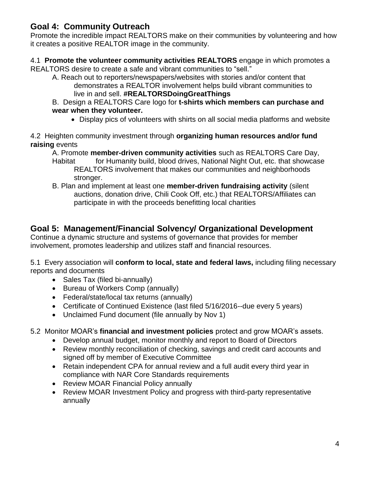# **Goal 4: Community Outreach**

Promote the incredible impact REALTORS make on their communities by volunteering and how it creates a positive REALTOR image in the community.

#### 4.1 **Promote the volunteer community activities REALTORS** engage in which promotes a

REALTORS desire to create a safe and vibrant communities to "sell."

- A. Reach out to reporters/newspapers/websites with stories and/or content that demonstrates a REALTOR involvement helps build vibrant communities to live in and sell. **#REALTORSDoingGreatThings**
- B. Design a REALTORS Care logo for **t-shirts which members can purchase and wear when they volunteer.**
	- Display pics of volunteers with shirts on all social media platforms and website

4.2 Heighten community investment through **organizing human resources and/or fund raising** events

A. Promote **member-driven community activities** such as REALTORS Care Day,

- Habitat for Humanity build, blood drives, National Night Out, etc. that showcase REALTORS involvement that makes our communities and neighborhoods stronger.
- B. Plan and implement at least one **member-driven fundraising activity** (silent auctions, donation drive, Chili Cook Off, etc.) that REALTORS/Affiliates can participate in with the proceeds benefitting local charities

# **Goal 5: Management/Financial Solvency/ Organizational Development**

Continue a dynamic structure and systems of governance that provides for member involvement, promotes leadership and utilizes staff and financial resources.

5.1 Every association will **conform to local, state and federal laws,** including filing necessary reports and documents

- Sales Tax (filed bi-annually)
- Bureau of Workers Comp (annually)
- Federal/state/local tax returns (annually)
- Certificate of Continued Existence (last filed 5/16/2016--due every 5 years)
- Unclaimed Fund document (file annually by Nov 1)

5.2 Monitor MOAR's **financial and investment policies** protect and grow MOAR's assets.

- Develop annual budget, monitor monthly and report to Board of Directors
- Review monthly reconciliation of checking, savings and credit card accounts and signed off by member of Executive Committee
- Retain independent CPA for annual review and a full audit every third year in compliance with NAR Core Standards requirements
- Review MOAR Financial Policy annually
- Review MOAR Investment Policy and progress with third-party representative annually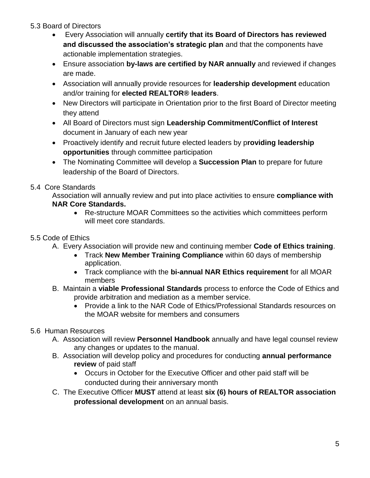#### 5.3 Board of Directors

- Every Association will annually **certify that its Board of Directors has reviewed and discussed the association's strategic plan** and that the components have actionable implementation strategies.
- Ensure association **by-laws are certified by NAR annually** and reviewed if changes are made.
- Association will annually provide resources for **leadership development** education and/or training for **elected REALTOR® leaders**.
- New Directors will participate in Orientation prior to the first Board of Director meeting they attend
- All Board of Directors must sign **Leadership Commitment/Conflict of Interest** document in January of each new year
- Proactively identify and recruit future elected leaders by p**roviding leadership opportunities** through committee participation
- The Nominating Committee will develop a **Succession Plan** to prepare for future leadership of the Board of Directors.

### 5.4 Core Standards

Association will annually review and put into place activities to ensure **compliance with NAR Core Standards.**

 Re-structure MOAR Committees so the activities which committees perform will meet core standards.

### 5.5 Code of Ethics

- A. Every Association will provide new and continuing member **Code of Ethics training**.
	- Track **New Member Training Compliance** within 60 days of membership application.
	- Track compliance with the **bi-annual NAR Ethics requirement** for all MOAR members
- B. Maintain a **viable Professional Standards** process to enforce the Code of Ethics and provide arbitration and mediation as a member service.
	- Provide a link to the NAR Code of Ethics/Professional Standards resources on the MOAR website for members and consumers

### 5.6 Human Resources

- A. Association will review **Personnel Handbook** annually and have legal counsel review any changes or updates to the manual.
- B. Association will develop policy and procedures for conducting **annual performance review** of paid staff
	- Occurs in October for the Executive Officer and other paid staff will be conducted during their anniversary month
- C. The Executive Officer **MUST** attend at least **six (6) hours of REALTOR association professional development** on an annual basis.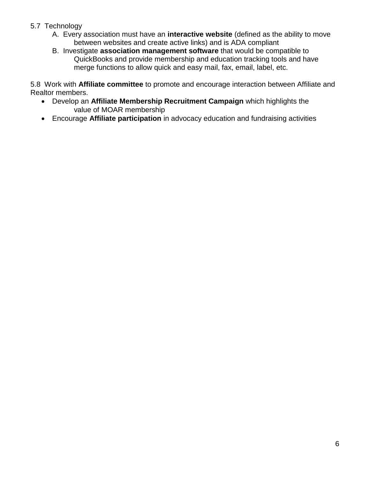#### 5.7 Technology

- A. Every association must have an **interactive website** (defined as the ability to move between websites and create active links) and is ADA compliant
- B. Investigate **association management software** that would be compatible to QuickBooks and provide membership and education tracking tools and have merge functions to allow quick and easy mail, fax, email, label, etc.

5.8 Work with **Affiliate committee** to promote and encourage interaction between Affiliate and Realtor members.

- Develop an **Affiliate Membership Recruitment Campaign** which highlights the value of MOAR membership
- Encourage **Affiliate participation** in advocacy education and fundraising activities